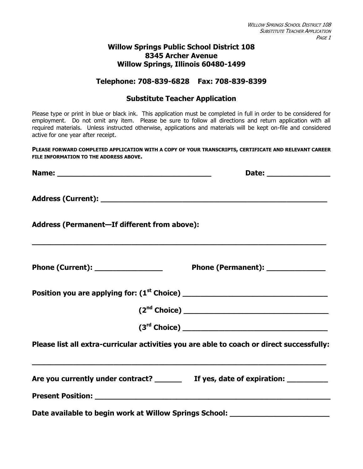### **Willow Springs Public School District 108 8345 Archer Avenue Willow Springs, Illinois 60480-1499**

### **Telephone: 708-839-6828 Fax: 708-839-8399**

### **Substitute Teacher Application**

Please type or print in blue or black ink. This application must be completed in full in order to be considered for employment. Do not omit any item. Please be sure to follow all directions and return application with all required materials. Unless instructed otherwise, applications and materials will be kept on-file and considered active for one year after receipt.

**PLEASE FORWARD COMPLETED APPLICATION WITH A COPY OF YOUR TRANSCRIPTS, CERTIFICATE AND RELEVANT CAREER FILE INFORMATION TO THE ADDRESS ABOVE.**

| Address (Permanent-If different from above):                                              |                                   |  |  |  |  |  |
|-------------------------------------------------------------------------------------------|-----------------------------------|--|--|--|--|--|
|                                                                                           | Phone (Permanent): ______________ |  |  |  |  |  |
|                                                                                           |                                   |  |  |  |  |  |
|                                                                                           | (2 <sup>nd</sup> Choice)          |  |  |  |  |  |
|                                                                                           |                                   |  |  |  |  |  |
| Please list all extra-curricular activities you are able to coach or direct successfully: |                                   |  |  |  |  |  |
| Are you currently under contract? ________ If yes, date of expiration: _________          |                                   |  |  |  |  |  |
|                                                                                           |                                   |  |  |  |  |  |
| Date available to begin work at Willow Springs School: _________________________          |                                   |  |  |  |  |  |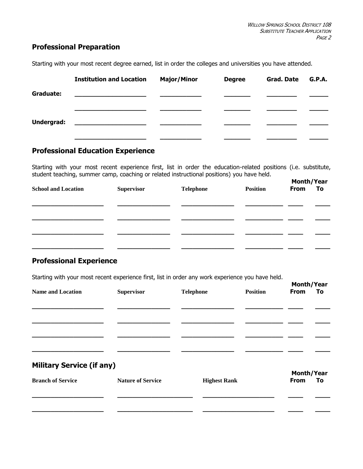### **Professional Preparation**

Starting with your most recent degree earned, list in order the colleges and universities you have attended.

|            | <b>Institution and Location</b>               | <b>Major/Minor</b> | <b>Degree</b> | <b>Grad. Date</b> | G.P.A. |
|------------|-----------------------------------------------|--------------------|---------------|-------------------|--------|
| Graduate:  |                                               |                    |               |                   |        |
|            |                                               |                    |               |                   |        |
| Undergrad: | <u> 1980 - Andrea Andrew Maria (h. 1980).</u> |                    |               |                   |        |
|            |                                               |                    |               |                   |        |

## **Professional Education Experience**

Starting with your most recent experience first, list in order the education-related positions (i.e. substitute, student teaching, summer camp, coaching or related instructional positions) you have held.

| . .                        | . .               | . .              | . .             | <b>Month/Year</b> |    |
|----------------------------|-------------------|------------------|-----------------|-------------------|----|
| <b>School and Location</b> | <b>Supervisor</b> | <b>Telephone</b> | <b>Position</b> | <b>From</b>       | To |
|                            |                   |                  |                 |                   |    |
|                            |                   |                  |                 |                   |    |
|                            |                   |                  |                 |                   |    |
|                            |                   |                  |                 |                   |    |
|                            |                   |                  |                 |                   |    |
|                            |                   |                  |                 |                   |    |

### **Professional Experience**

Starting with your most recent experience first, list in order any work experience you have held.

| ້<br>$\overline{\phantom{a}}$    |                          | . .                 | $\mathbf{r}$    |             | Month/Year |  |
|----------------------------------|--------------------------|---------------------|-----------------|-------------|------------|--|
| <b>Name and Location</b>         | <b>Supervisor</b>        | <b>Telephone</b>    | <b>Position</b> | <b>From</b> | To         |  |
|                                  |                          |                     |                 |             |            |  |
|                                  |                          |                     |                 |             |            |  |
|                                  |                          |                     |                 |             |            |  |
|                                  |                          |                     |                 |             |            |  |
|                                  |                          |                     |                 |             |            |  |
|                                  |                          |                     |                 |             |            |  |
| <b>Military Service (if any)</b> |                          |                     |                 |             |            |  |
|                                  |                          |                     |                 | Month/Year  |            |  |
| <b>Branch of Service</b>         | <b>Nature of Service</b> | <b>Highest Rank</b> |                 | <b>From</b> | To         |  |
|                                  |                          |                     |                 |             |            |  |
|                                  |                          |                     |                 |             |            |  |
|                                  |                          |                     |                 |             |            |  |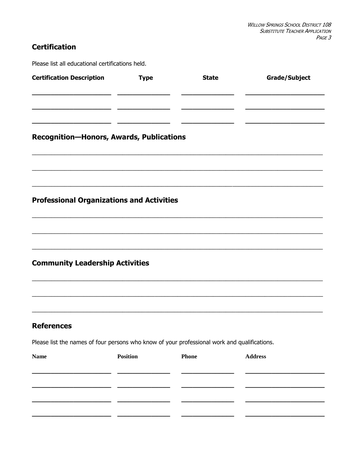# **Certification**

Please list all educational certifications held.

| <b>Certification Description</b>                                                             | <b>Type</b> | <b>State</b> | <b>Grade/Subject</b> |
|----------------------------------------------------------------------------------------------|-------------|--------------|----------------------|
|                                                                                              |             |              |                      |
|                                                                                              |             |              |                      |
| <b>Recognition-Honors, Awards, Publications</b>                                              |             |              |                      |
|                                                                                              |             |              |                      |
|                                                                                              |             |              |                      |
| <b>Professional Organizations and Activities</b>                                             |             |              |                      |
|                                                                                              |             |              |                      |
|                                                                                              |             |              |                      |
| <b>Community Leadership Activities</b>                                                       |             |              |                      |
|                                                                                              |             |              |                      |
|                                                                                              |             |              |                      |
| <b>References</b>                                                                            |             |              |                      |
| Please list the names of four persons who know of your professional work and qualifications. |             |              |                      |
| <b>Name</b>                                                                                  | Position    | Phone        | <b>Address</b>       |
|                                                                                              |             |              |                      |
|                                                                                              |             |              |                      |